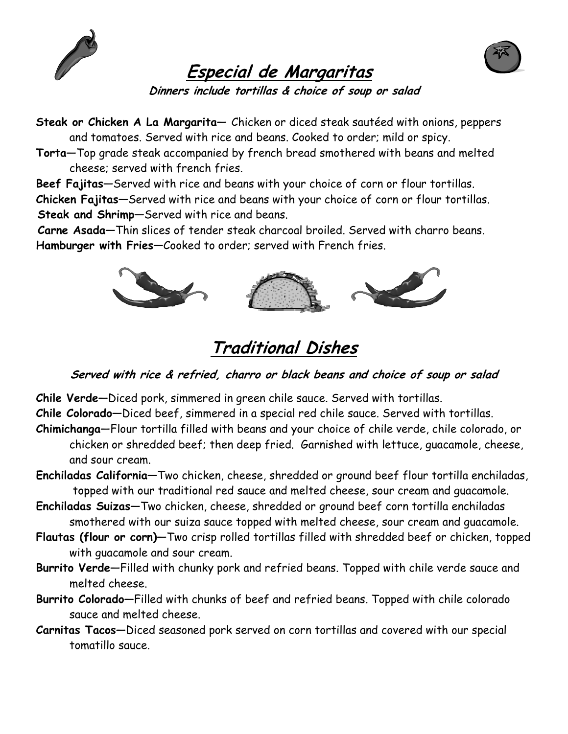



### Especial de Margaritas

Dinners include tortillas & choice of soup or salad

Steak or Chicken A La Margarita- Chicken or diced steak sautéed with onions, peppers and tomatoes. Served with rice and beans. Cooked to order; mild or spicy.

Torta—Top grade steak accompanied by french bread smothered with beans and melted cheese; served with french fries.

Beef Fajitas—Served with rice and beans with your choice of corn or flour tortillas. Chicken Fajitas—Served with rice and beans with your choice of corn or flour tortillas. Steak and Shrimp—Served with rice and beans.

Carne Asada—Thin slices of tender steak charcoal broiled. Served with charro beans. Hamburger with Fries-Cooked to order; served with French fries.



### Traditional Dishes

#### Served with rice & refried, charro or black beans and choice of soup or salad

Chile Verde—Diced pork, simmered in green chile sauce. Served with tortillas.

Chile Colorado—Diced beef, simmered in a special red chile sauce. Served with tortillas.

- Chimichanga—Flour tortilla filled with beans and your choice of chile verde, chile colorado, or chicken or shredded beef; then deep fried. Garnished with lettuce, guacamole, cheese, and sour cream.
- Enchiladas California—Two chicken, cheese, shredded or ground beef flour tortilla enchiladas, topped with our traditional red sauce and melted cheese, sour cream and guacamole.
- Enchiladas Suizas—Two chicken, cheese, shredded or ground beef corn tortilla enchiladas smothered with our suiza sauce topped with melted cheese, sour cream and guacamole.
- Flautas (flour or corn)—Two crisp rolled tortillas filled with shredded beef or chicken, topped with guacamole and sour cream.
- Burrito Verde—Filled with chunky pork and refried beans. Topped with chile verde sauce and melted cheese.
- Burrito Colorado—Filled with chunks of beef and refried beans. Topped with chile colorado sauce and melted cheese.
- Carnitas Tacos—Diced seasoned pork served on corn tortillas and covered with our special tomatillo sauce.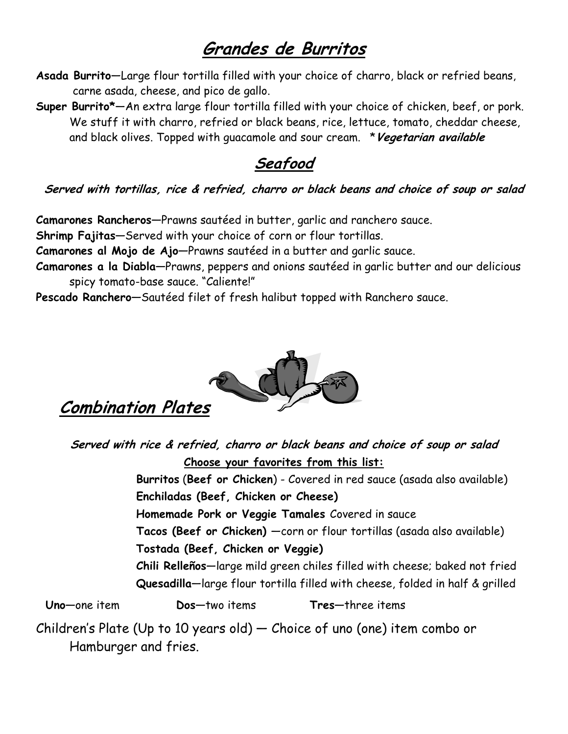### Grandes de Burritos

- Asada Burrito—Large flour tortilla filled with your choice of charro, black or refried beans, carne asada, cheese, and pico de gallo.
- Super Burrito\*—An extra large flour tortilla filled with your choice of chicken, beef, or pork. We stuff it with charro, refried or black beans, rice, lettuce, tomato, cheddar cheese, and black olives. Topped with quacamole and sour cream. \* Vegetarian available

Seafood

#### Served with tortillas, rice & refried, charro or black beans and choice of soup or salad

Camarones Rancheros—Prawns sautéed in butter, garlic and ranchero sauce.

Shrimp Fajitas—Served with your choice of corn or flour tortillas.

Camarones al Mojo de Ajo—Prawns sautéed in a butter and garlic sauce.

Camarones a la Diabla—Prawns, peppers and onions sautéed in garlic butter and our delicious spicy tomato-base sauce. "Caliente!"

Pescado Ranchero—Sautéed filet of fresh halibut topped with Ranchero sauce.



### Combination Plates

Served with rice & refried, charro or black beans and choice of soup or salad Choose your favorites from this list:

> Burritos (Beef or Chicken) - Covered in red sauce (asada also available) Enchiladas (Beef, Chicken or Cheese)

Homemade Pork or Veggie Tamales Covered in sauce

Tacos (Beef or Chicken) —corn or flour tortillas (asada also available)

Tostada (Beef, Chicken or Veggie)

 Chili Relleños—large mild green chiles filled with cheese; baked not fried Quesadilla—large flour tortilla filled with cheese, folded in half & grilled

Uno—one item Dos—two items Tres—three items

Children's Plate (Up to 10 years old) — Choice of uno (one) item combo or Hamburger and fries.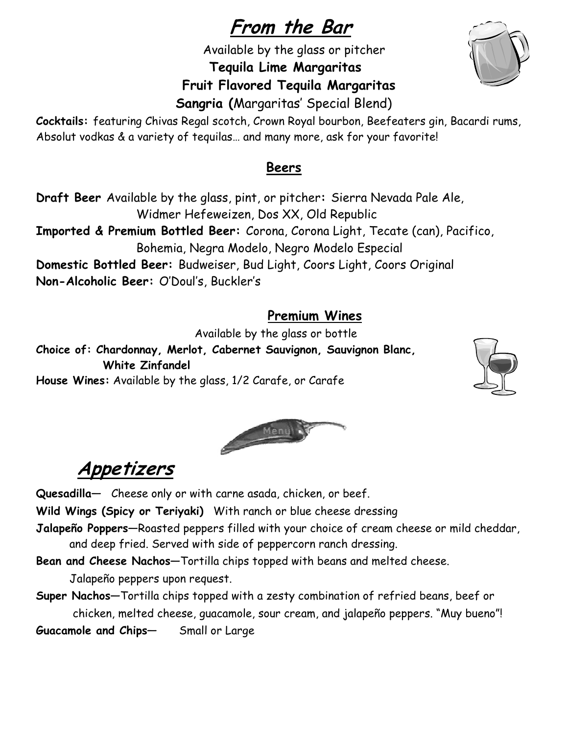# From the Bar

Available by the glass or pitcher

Tequila Lime Margaritas

#### Fruit Flavored Tequila Margaritas

Sangria (Margaritas' Special Blend)

Cocktails: featuring Chivas Regal scotch, Crown Royal bourbon, Beefeaters gin, Bacardi rums, Absolut vodkas & a variety of tequilas… and many more, ask for your favorite!

#### Beers

Draft Beer Available by the glass, pint, or pitcher: Sierra Nevada Pale Ale, Widmer Hefeweizen, Dos XX, Old Republic Imported & Premium Bottled Beer: Corona, Corona Light, Tecate (can), Pacifico, Bohemia, Negra Modelo, Negro Modelo Especial Domestic Bottled Beer: Budweiser, Bud Light, Coors Light, Coors Original Non-Alcoholic Beer: O'Doul's, Buckler's

#### Premium Wines

Available by the glass or bottle

Choice of: Chardonnay, Merlot, Cabernet Sauvignon, Sauvignon Blanc, White Zinfandel House Wines: Available by the glass, 1/2 Carafe, or Carafe



# Appetizers

Quesadilla— Cheese only or with carne asada, chicken, or beef.

Wild Wings (Spicy or Teriyaki) With ranch or blue cheese dressing

Jalapeño Poppers—Roasted peppers filled with your choice of cream cheese or mild cheddar, and deep fried. Served with side of peppercorn ranch dressing.

Bean and Cheese Nachos—Tortilla chips topped with beans and melted cheese.

Jalapeño peppers upon request.

Super Nachos—Tortilla chips topped with a zesty combination of refried beans, beef or chicken, melted cheese, guacamole, sour cream, and jalapeño peppers. "Muy bueno"! Guacamole and Chips— Small or Large